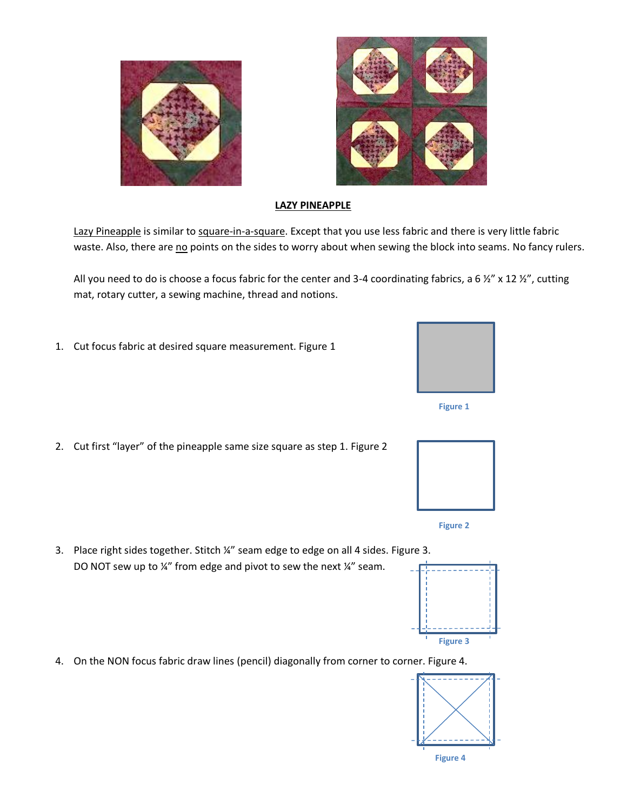



## **LAZY PINEAPPLE**

Lazy Pineapple is similar to square-in-a-square. Except that you use less fabric and there is very little fabric waste. Also, there are no points on the sides to worry about when sewing the block into seams. No fancy rulers.

All you need to do is choose a focus fabric for the center and 3-4 coordinating fabrics, a 6  $\frac{1}{2}$  x 12  $\frac{1}{2}$ , cutting mat, rotary cutter, a sewing machine, thread and notions.

- 1. Cut focus fabric at desired square measurement. Figure 1
- **Figure 1**
- 2. Cut first "layer" of the pineapple same size square as step 1. Figure 2
- 





- 3. Place right sides together. Stitch ¼" seam edge to edge on all 4 sides. Figure 3. DO NOT sew up to ¼" from edge and pivot to sew the next ¼" seam.
- 4. On the NON focus fabric draw lines (pencil) diagonally from corner to corner. Figure 4.